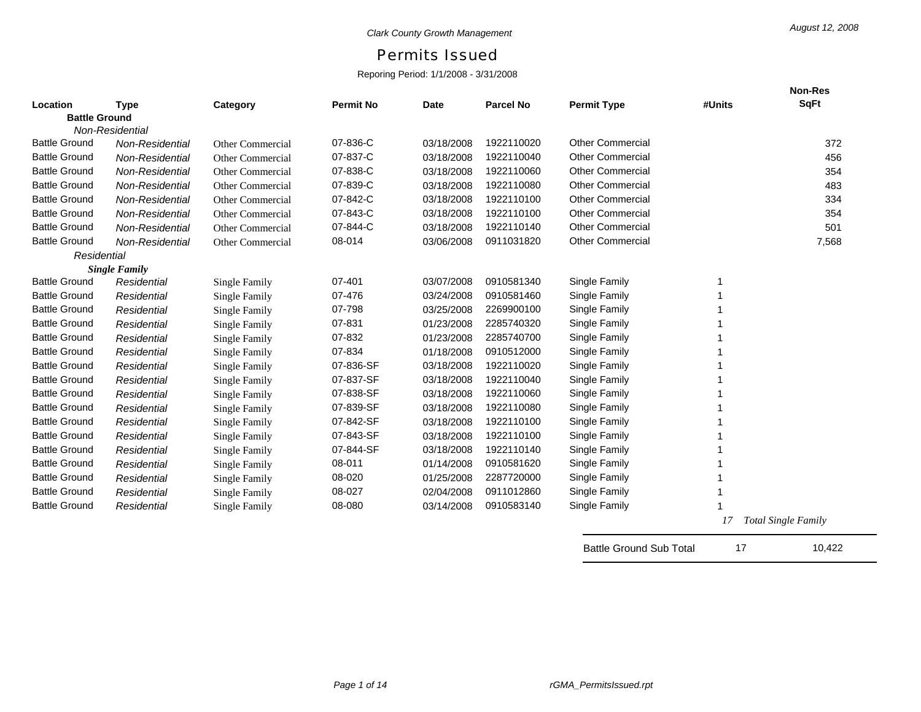## Permits Issued

## Reporing Period: 1/1/2008 - 3/31/2008

|                      |                      |                         |                  |             |            |                         |        | <b>Non-Res</b>             |
|----------------------|----------------------|-------------------------|------------------|-------------|------------|-------------------------|--------|----------------------------|
| Location             | <b>Type</b>          | Category                | <b>Permit No</b> | <b>Date</b> | Parcel No  | <b>Permit Type</b>      | #Units | <b>SqFt</b>                |
| <b>Battle Ground</b> |                      |                         |                  |             |            |                         |        |                            |
|                      | Non-Residential      |                         |                  |             |            |                         |        |                            |
| <b>Battle Ground</b> | Non-Residential      | Other Commercial        | 07-836-C         | 03/18/2008  | 1922110020 | <b>Other Commercial</b> |        | 372                        |
| <b>Battle Ground</b> | Non-Residential      | Other Commercial        | 07-837-C         | 03/18/2008  | 1922110040 | <b>Other Commercial</b> |        | 456                        |
| <b>Battle Ground</b> | Non-Residential      | Other Commercial        | 07-838-C         | 03/18/2008  | 1922110060 | <b>Other Commercial</b> |        | 354                        |
| <b>Battle Ground</b> | Non-Residential      | <b>Other Commercial</b> | 07-839-C         | 03/18/2008  | 1922110080 | <b>Other Commercial</b> |        | 483                        |
| <b>Battle Ground</b> | Non-Residential      | Other Commercial        | 07-842-C         | 03/18/2008  | 1922110100 | <b>Other Commercial</b> |        | 334                        |
| <b>Battle Ground</b> | Non-Residential      | Other Commercial        | 07-843-C         | 03/18/2008  | 1922110100 | <b>Other Commercial</b> |        | 354                        |
| <b>Battle Ground</b> | Non-Residential      | Other Commercial        | 07-844-C         | 03/18/2008  | 1922110140 | <b>Other Commercial</b> |        | 501                        |
| <b>Battle Ground</b> | Non-Residential      | <b>Other Commercial</b> | 08-014           | 03/06/2008  | 0911031820 | <b>Other Commercial</b> |        | 7,568                      |
| Residential          |                      |                         |                  |             |            |                         |        |                            |
|                      | <b>Single Family</b> |                         |                  |             |            |                         |        |                            |
| <b>Battle Ground</b> | Residential          | <b>Single Family</b>    | 07-401           | 03/07/2008  | 0910581340 | Single Family           |        |                            |
| <b>Battle Ground</b> | Residential          | Single Family           | 07-476           | 03/24/2008  | 0910581460 | Single Family           |        |                            |
| <b>Battle Ground</b> | Residential          | Single Family           | 07-798           | 03/25/2008  | 2269900100 | Single Family           |        |                            |
| <b>Battle Ground</b> | Residential          | <b>Single Family</b>    | 07-831           | 01/23/2008  | 2285740320 | Single Family           |        |                            |
| <b>Battle Ground</b> | Residential          | <b>Single Family</b>    | 07-832           | 01/23/2008  | 2285740700 | Single Family           |        |                            |
| <b>Battle Ground</b> | Residential          | Single Family           | 07-834           | 01/18/2008  | 0910512000 | Single Family           |        |                            |
| <b>Battle Ground</b> | Residential          | <b>Single Family</b>    | 07-836-SF        | 03/18/2008  | 1922110020 | Single Family           |        |                            |
| <b>Battle Ground</b> | Residential          | <b>Single Family</b>    | 07-837-SF        | 03/18/2008  | 1922110040 | Single Family           |        |                            |
| <b>Battle Ground</b> | Residential          | <b>Single Family</b>    | 07-838-SF        | 03/18/2008  | 1922110060 | Single Family           |        |                            |
| <b>Battle Ground</b> | Residential          | Single Family           | 07-839-SF        | 03/18/2008  | 1922110080 | Single Family           |        |                            |
| <b>Battle Ground</b> | Residential          | Single Family           | 07-842-SF        | 03/18/2008  | 1922110100 | Single Family           |        |                            |
| <b>Battle Ground</b> | Residential          | <b>Single Family</b>    | 07-843-SF        | 03/18/2008  | 1922110100 | Single Family           |        |                            |
| <b>Battle Ground</b> | Residential          | Single Family           | 07-844-SF        | 03/18/2008  | 1922110140 | Single Family           |        |                            |
| <b>Battle Ground</b> | Residential          | <b>Single Family</b>    | 08-011           | 01/14/2008  | 0910581620 | Single Family           |        |                            |
| <b>Battle Ground</b> | Residential          | Single Family           | 08-020           | 01/25/2008  | 2287720000 | Single Family           |        |                            |
| <b>Battle Ground</b> | Residential          | Single Family           | 08-027           | 02/04/2008  | 0911012860 | Single Family           |        |                            |
| <b>Battle Ground</b> | Residential          | <b>Single Family</b>    | 08-080           | 03/14/2008  | 0910583140 | Single Family           |        |                            |
|                      |                      |                         |                  |             |            |                         | 17     | <b>Total Single Family</b> |

Battle Ground Sub Total 17 10,422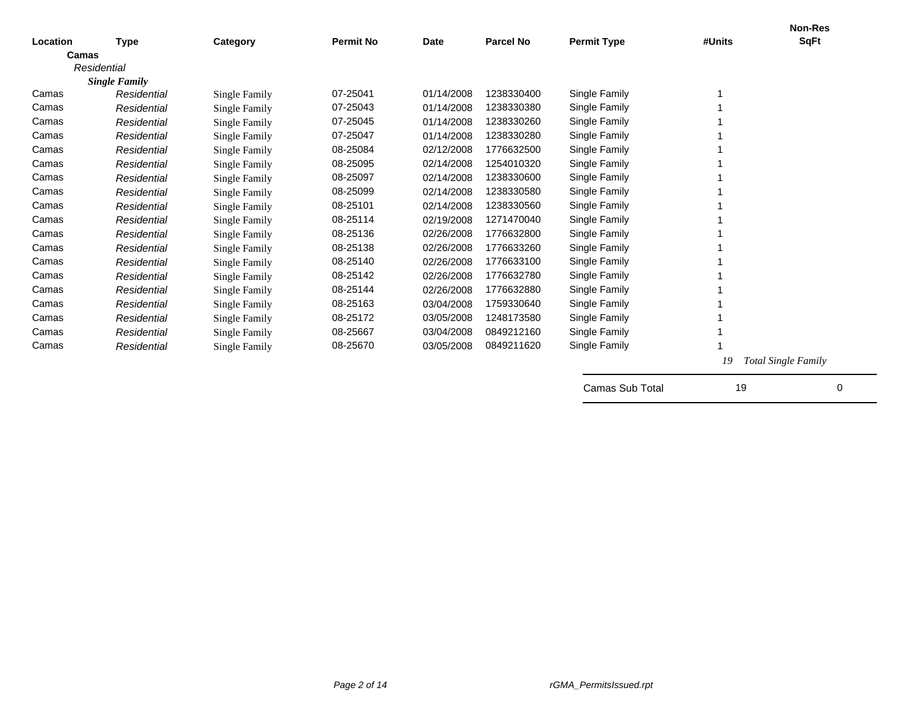|          |                                     |                      |                  |             |                  |                    |        | <b>Non-Res</b>             |
|----------|-------------------------------------|----------------------|------------------|-------------|------------------|--------------------|--------|----------------------------|
| Location | <b>Type</b>                         | Category             | <b>Permit No</b> | <b>Date</b> | <b>Parcel No</b> | <b>Permit Type</b> | #Units | <b>SqFt</b>                |
| Camas    |                                     |                      |                  |             |                  |                    |        |                            |
|          | Residential<br><b>Single Family</b> |                      |                  |             |                  |                    |        |                            |
| Camas    | Residential                         | <b>Single Family</b> | 07-25041         | 01/14/2008  | 1238330400       | Single Family      |        |                            |
| Camas    | Residential                         | <b>Single Family</b> | 07-25043         | 01/14/2008  | 1238330380       | Single Family      |        |                            |
| Camas    | Residential                         | <b>Single Family</b> | 07-25045         | 01/14/2008  | 1238330260       | Single Family      |        |                            |
| Camas    | Residential                         | Single Family        | 07-25047         | 01/14/2008  | 1238330280       | Single Family      |        |                            |
| Camas    | Residential                         | Single Family        | 08-25084         | 02/12/2008  | 1776632500       | Single Family      |        |                            |
| Camas    | Residential                         | Single Family        | 08-25095         | 02/14/2008  | 1254010320       | Single Family      |        |                            |
| Camas    | Residential                         | Single Family        | 08-25097         | 02/14/2008  | 1238330600       | Single Family      |        |                            |
| Camas    | Residential                         | <b>Single Family</b> | 08-25099         | 02/14/2008  | 1238330580       | Single Family      |        |                            |
| Camas    | Residential                         | Single Family        | 08-25101         | 02/14/2008  | 1238330560       | Single Family      |        |                            |
| Camas    | Residential                         | Single Family        | 08-25114         | 02/19/2008  | 1271470040       | Single Family      |        |                            |
| Camas    | Residential                         | Single Family        | 08-25136         | 02/26/2008  | 1776632800       | Single Family      |        |                            |
| Camas    | Residential                         | <b>Single Family</b> | 08-25138         | 02/26/2008  | 1776633260       | Single Family      |        |                            |
| Camas    | Residential                         | <b>Single Family</b> | 08-25140         | 02/26/2008  | 1776633100       | Single Family      |        |                            |
| Camas    | Residential                         | Single Family        | 08-25142         | 02/26/2008  | 1776632780       | Single Family      |        |                            |
| Camas    | Residential                         | <b>Single Family</b> | 08-25144         | 02/26/2008  | 1776632880       | Single Family      |        |                            |
| Camas    | Residential                         | <b>Single Family</b> | 08-25163         | 03/04/2008  | 1759330640       | Single Family      |        |                            |
| Camas    | Residential                         | <b>Single Family</b> | 08-25172         | 03/05/2008  | 1248173580       | Single Family      |        |                            |
| Camas    | Residential                         | <b>Single Family</b> | 08-25667         | 03/04/2008  | 0849212160       | Single Family      |        |                            |
| Camas    | Residential                         | Single Family        | 08-25670         | 03/05/2008  | 0849211620       | Single Family      |        |                            |
|          |                                     |                      |                  |             |                  |                    | 19     | <b>Total Single Family</b> |
|          |                                     |                      |                  |             |                  | Camas Sub Total    | 19     | 0                          |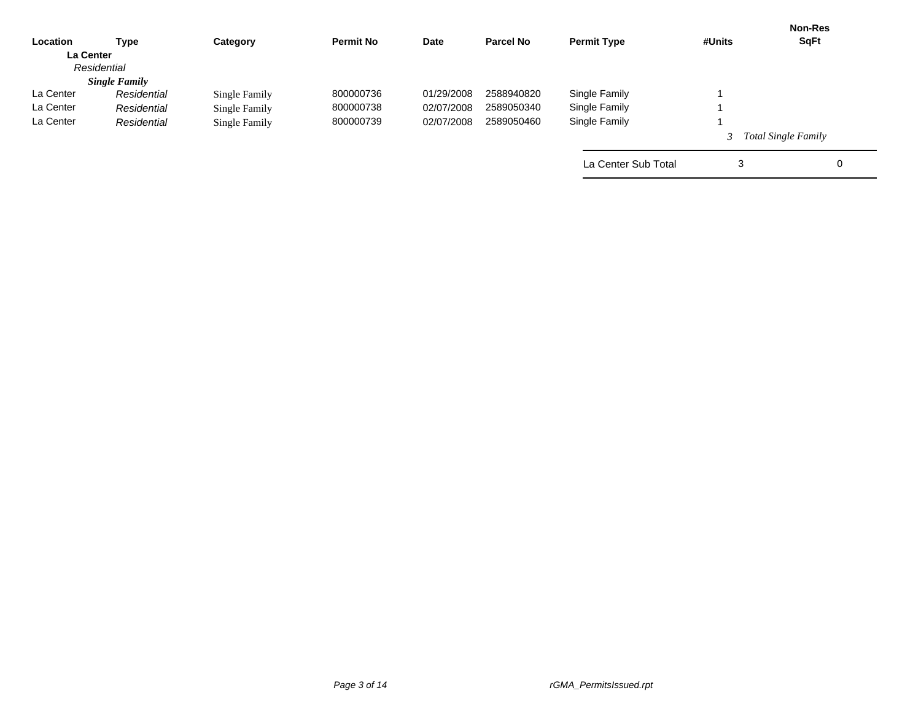|                      | Category      | <b>Permit No</b> | Date       | <b>Parcel No</b> | <b>Permit Type</b>  | #Units | <b>Non-Res</b><br><b>SqFt</b> |
|----------------------|---------------|------------------|------------|------------------|---------------------|--------|-------------------------------|
| <b>La Center</b>     |               |                  |            |                  |                     |        |                               |
| Residential          |               |                  |            |                  |                     |        |                               |
| <b>Single Family</b> |               |                  |            |                  |                     |        |                               |
| Residential          | Single Family | 800000736        | 01/29/2008 | 2588940820       | Single Family       |        |                               |
| Residential          | Single Family | 800000738        | 02/07/2008 | 2589050340       | Single Family       |        |                               |
| Residential          | Single Family | 800000739        | 02/07/2008 | 2589050460       | Single Family       |        |                               |
|                      |               |                  |            |                  |                     |        | <b>Total Single Family</b>    |
|                      |               |                  |            |                  | La Center Sub Total | 3      | $\mathbf 0$                   |
|                      | Type          |                  |            |                  |                     |        |                               |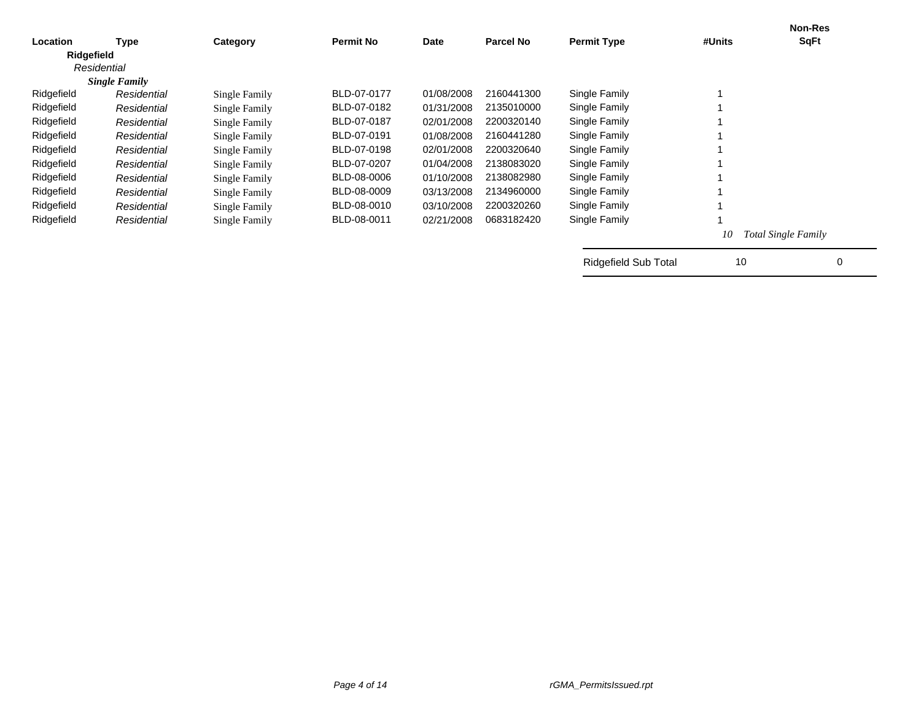| Location   |                      |               | <b>Permit No</b> | Date       | <b>Parcel No</b> | <b>Permit Type</b>          | #Units | <b>Non-Res</b><br><b>SqFt</b> |
|------------|----------------------|---------------|------------------|------------|------------------|-----------------------------|--------|-------------------------------|
|            | Type                 | Category      |                  |            |                  |                             |        |                               |
| Ridgefield | Residential          |               |                  |            |                  |                             |        |                               |
|            | <b>Single Family</b> |               |                  |            |                  |                             |        |                               |
| Ridgefield | Residential          | Single Family | BLD-07-0177      | 01/08/2008 | 2160441300       | Single Family               |        |                               |
| Ridgefield | Residential          | Single Family | BLD-07-0182      | 01/31/2008 | 2135010000       | Single Family               |        |                               |
| Ridgefield | Residential          | Single Family | BLD-07-0187      | 02/01/2008 | 2200320140       | Single Family               |        |                               |
| Ridgefield | Residential          | Single Family | BLD-07-0191      | 01/08/2008 | 2160441280       | Single Family               |        |                               |
| Ridgefield | Residential          | Single Family | BLD-07-0198      | 02/01/2008 | 2200320640       | Single Family               |        |                               |
| Ridgefield | Residential          | Single Family | BLD-07-0207      | 01/04/2008 | 2138083020       | Single Family               |        |                               |
| Ridgefield | Residential          | Single Family | BLD-08-0006      | 01/10/2008 | 2138082980       | Single Family               |        |                               |
| Ridgefield | Residential          | Single Family | BLD-08-0009      | 03/13/2008 | 2134960000       | Single Family               |        |                               |
| Ridgefield | Residential          | Single Family | BLD-08-0010      | 03/10/2008 | 2200320260       | Single Family               |        |                               |
| Ridgefield | Residential          | Single Family | BLD-08-0011      | 02/21/2008 | 0683182420       | Single Family               |        |                               |
|            |                      |               |                  |            |                  |                             | 10     | <b>Total Single Family</b>    |
|            |                      |               |                  |            |                  | <b>Ridgefield Sub Total</b> | 10     | 0                             |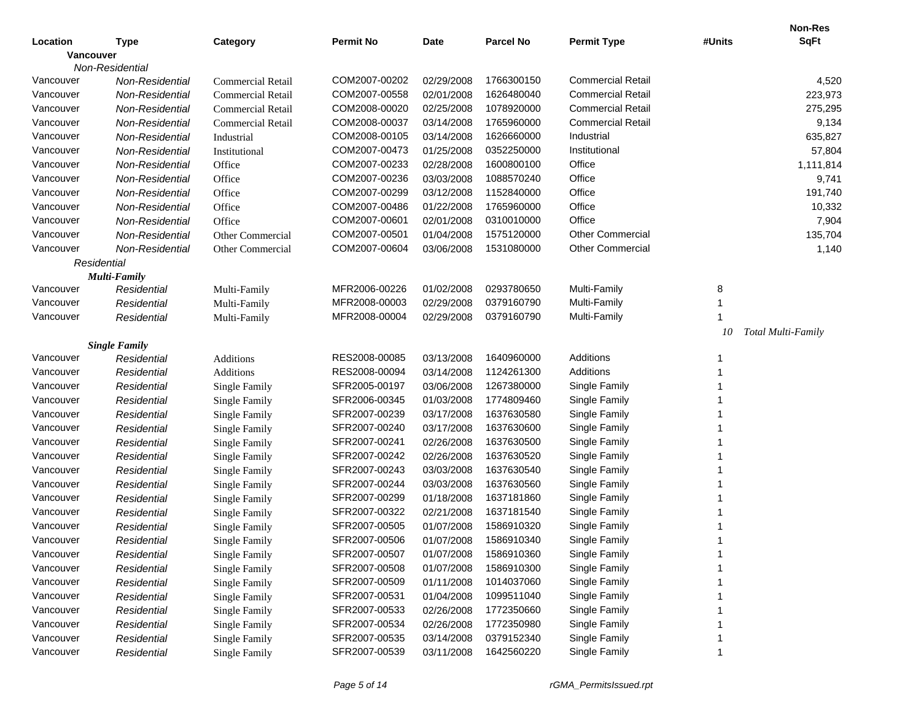|           |                      |                          |                  |             |                  |                          |        | <b>Non-Res</b>     |
|-----------|----------------------|--------------------------|------------------|-------------|------------------|--------------------------|--------|--------------------|
| Location  | Type                 | Category                 | <b>Permit No</b> | <b>Date</b> | <b>Parcel No</b> | <b>Permit Type</b>       | #Units | <b>SqFt</b>        |
| Vancouver |                      |                          |                  |             |                  |                          |        |                    |
|           | Non-Residential      |                          |                  |             |                  |                          |        |                    |
| Vancouver | Non-Residential      | Commercial Retail        | COM2007-00202    | 02/29/2008  | 1766300150       | <b>Commercial Retail</b> |        | 4,520              |
| Vancouver | Non-Residential      | <b>Commercial Retail</b> | COM2007-00558    | 02/01/2008  | 1626480040       | <b>Commercial Retail</b> |        | 223,973            |
| Vancouver | Non-Residential      | <b>Commercial Retail</b> | COM2008-00020    | 02/25/2008  | 1078920000       | <b>Commercial Retail</b> |        | 275,295            |
| Vancouver | Non-Residential      | <b>Commercial Retail</b> | COM2008-00037    | 03/14/2008  | 1765960000       | <b>Commercial Retail</b> |        | 9,134              |
| Vancouver | Non-Residential      | Industrial               | COM2008-00105    | 03/14/2008  | 1626660000       | Industrial               |        | 635,827            |
| Vancouver | Non-Residential      | Institutional            | COM2007-00473    | 01/25/2008  | 0352250000       | Institutional            |        | 57,804             |
| Vancouver | Non-Residential      | Office                   | COM2007-00233    | 02/28/2008  | 1600800100       | Office                   |        | 1,111,814          |
| Vancouver | Non-Residential      | Office                   | COM2007-00236    | 03/03/2008  | 1088570240       | Office                   |        | 9,741              |
| Vancouver | Non-Residential      | Office                   | COM2007-00299    | 03/12/2008  | 1152840000       | Office                   |        | 191,740            |
| Vancouver | Non-Residential      | Office                   | COM2007-00486    | 01/22/2008  | 1765960000       | Office                   |        | 10,332             |
| Vancouver | Non-Residential      | Office                   | COM2007-00601    | 02/01/2008  | 0310010000       | Office                   |        | 7,904              |
| Vancouver | Non-Residential      | Other Commercial         | COM2007-00501    | 01/04/2008  | 1575120000       | <b>Other Commercial</b>  |        | 135,704            |
| Vancouver | Non-Residential      | Other Commercial         | COM2007-00604    | 03/06/2008  | 1531080000       | Other Commercial         |        | 1,140              |
|           | Residential          |                          |                  |             |                  |                          |        |                    |
|           | <b>Multi-Family</b>  |                          |                  |             |                  |                          |        |                    |
| Vancouver | Residential          | Multi-Family             | MFR2006-00226    | 01/02/2008  | 0293780650       | Multi-Family             | 8      |                    |
| Vancouver | Residential          | Multi-Family             | MFR2008-00003    | 02/29/2008  | 0379160790       | Multi-Family             |        |                    |
| Vancouver | Residential          | Multi-Family             | MFR2008-00004    | 02/29/2008  | 0379160790       | Multi-Family             |        |                    |
|           |                      |                          |                  |             |                  |                          | 10     | Total Multi-Family |
|           | <b>Single Family</b> |                          |                  |             |                  |                          |        |                    |
| Vancouver | Residential          | Additions                | RES2008-00085    | 03/13/2008  | 1640960000       | Additions                |        |                    |
| Vancouver | Residential          | Additions                | RES2008-00094    | 03/14/2008  | 1124261300       | Additions                |        |                    |
| Vancouver | Residential          | <b>Single Family</b>     | SFR2005-00197    | 03/06/2008  | 1267380000       | Single Family            |        |                    |
| Vancouver | Residential          | Single Family            | SFR2006-00345    | 01/03/2008  | 1774809460       | Single Family            |        |                    |
| Vancouver | Residential          | Single Family            | SFR2007-00239    | 03/17/2008  | 1637630580       | Single Family            |        |                    |
| Vancouver | Residential          | <b>Single Family</b>     | SFR2007-00240    | 03/17/2008  | 1637630600       | Single Family            |        |                    |
| Vancouver | Residential          | <b>Single Family</b>     | SFR2007-00241    | 02/26/2008  | 1637630500       | Single Family            |        |                    |
| Vancouver | Residential          | <b>Single Family</b>     | SFR2007-00242    | 02/26/2008  | 1637630520       | Single Family            |        |                    |
| Vancouver | Residential          | <b>Single Family</b>     | SFR2007-00243    | 03/03/2008  | 1637630540       | Single Family            |        |                    |
| Vancouver | Residential          | <b>Single Family</b>     | SFR2007-00244    | 03/03/2008  | 1637630560       | Single Family            |        |                    |
| Vancouver | Residential          | <b>Single Family</b>     | SFR2007-00299    | 01/18/2008  | 1637181860       | Single Family            |        |                    |
| Vancouver | Residential          | Single Family            | SFR2007-00322    | 02/21/2008  | 1637181540       | Single Family            |        |                    |
| Vancouver | Residential          | <b>Single Family</b>     | SFR2007-00505    | 01/07/2008  | 1586910320       | Single Family            |        |                    |
| Vancouver | Residential          | Single Family            | SFR2007-00506    | 01/07/2008  | 1586910340       | Single Family            |        |                    |
| Vancouver | Residential          | <b>Single Family</b>     | SFR2007-00507    | 01/07/2008  | 1586910360       | Single Family            |        |                    |
| Vancouver | Residential          | Single Family            | SFR2007-00508    | 01/07/2008  | 1586910300       | Single Family            |        |                    |
| Vancouver | Residential          | Single Family            | SFR2007-00509    | 01/11/2008  | 1014037060       | Single Family            |        |                    |
| Vancouver | Residential          | Single Family            | SFR2007-00531    | 01/04/2008  | 1099511040       | Single Family            |        |                    |
| Vancouver | Residential          | Single Family            | SFR2007-00533    | 02/26/2008  | 1772350660       | Single Family            |        |                    |
| Vancouver | Residential          | Single Family            | SFR2007-00534    | 02/26/2008  | 1772350980       | Single Family            |        |                    |
| Vancouver | Residential          | <b>Single Family</b>     | SFR2007-00535    | 03/14/2008  | 0379152340       | Single Family            |        |                    |
| Vancouver | Residential          | <b>Single Family</b>     | SFR2007-00539    | 03/11/2008  | 1642560220       | Single Family            |        |                    |
|           |                      |                          |                  |             |                  |                          |        |                    |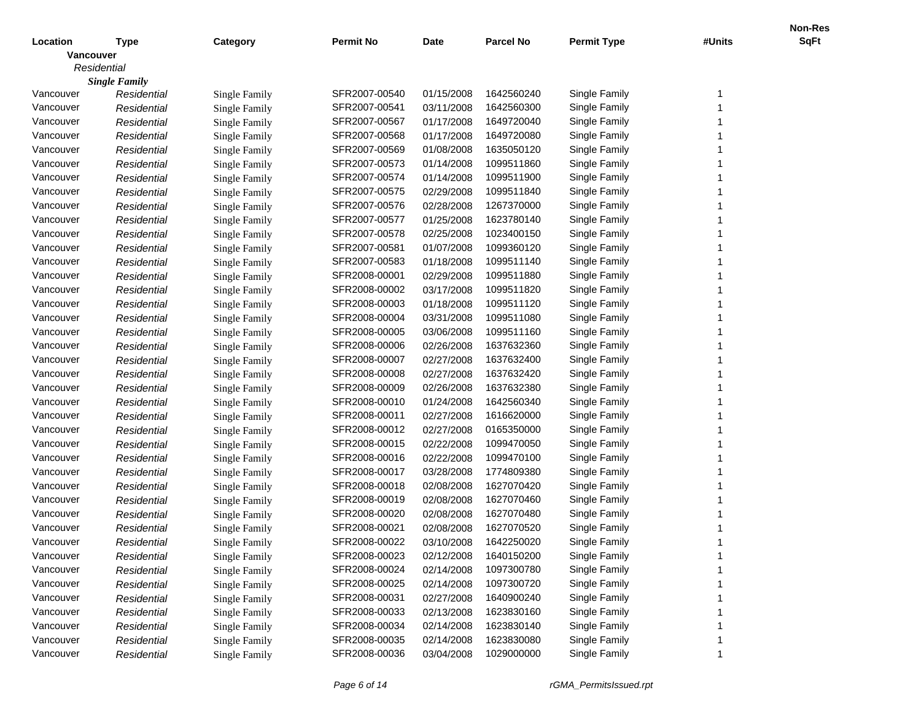|                  |                      |                      |                  |            |                  |                    |        | Non-Res     |
|------------------|----------------------|----------------------|------------------|------------|------------------|--------------------|--------|-------------|
| Location         | <b>Type</b>          | Category             | <b>Permit No</b> | Date       | <b>Parcel No</b> | <b>Permit Type</b> | #Units | <b>SqFt</b> |
| <b>Vancouver</b> |                      |                      |                  |            |                  |                    |        |             |
| Residential      |                      |                      |                  |            |                  |                    |        |             |
|                  | <b>Single Family</b> |                      |                  |            |                  |                    |        |             |
| Vancouver        | Residential          | Single Family        | SFR2007-00540    | 01/15/2008 | 1642560240       | Single Family      | -1     |             |
| Vancouver        | Residential          | <b>Single Family</b> | SFR2007-00541    | 03/11/2008 | 1642560300       | Single Family      |        |             |
| Vancouver        | Residential          | <b>Single Family</b> | SFR2007-00567    | 01/17/2008 | 1649720040       | Single Family      |        |             |
| Vancouver        | Residential          | <b>Single Family</b> | SFR2007-00568    | 01/17/2008 | 1649720080       | Single Family      |        |             |
| Vancouver        | Residential          | <b>Single Family</b> | SFR2007-00569    | 01/08/2008 | 1635050120       | Single Family      |        |             |
| Vancouver        | Residential          | <b>Single Family</b> | SFR2007-00573    | 01/14/2008 | 1099511860       | Single Family      |        |             |
| Vancouver        | Residential          | <b>Single Family</b> | SFR2007-00574    | 01/14/2008 | 1099511900       | Single Family      |        |             |
| Vancouver        | Residential          | Single Family        | SFR2007-00575    | 02/29/2008 | 1099511840       | Single Family      |        |             |
| Vancouver        | Residential          | <b>Single Family</b> | SFR2007-00576    | 02/28/2008 | 1267370000       | Single Family      |        |             |
| Vancouver        | Residential          | Single Family        | SFR2007-00577    | 01/25/2008 | 1623780140       | Single Family      |        |             |
| Vancouver        | Residential          | <b>Single Family</b> | SFR2007-00578    | 02/25/2008 | 1023400150       | Single Family      |        |             |
| Vancouver        | Residential          | Single Family        | SFR2007-00581    | 01/07/2008 | 1099360120       | Single Family      |        |             |
| Vancouver        | Residential          | <b>Single Family</b> | SFR2007-00583    | 01/18/2008 | 1099511140       | Single Family      |        |             |
| Vancouver        | Residential          | Single Family        | SFR2008-00001    | 02/29/2008 | 1099511880       | Single Family      |        |             |
| Vancouver        | Residential          | <b>Single Family</b> | SFR2008-00002    | 03/17/2008 | 1099511820       | Single Family      |        |             |
| Vancouver        | Residential          | <b>Single Family</b> | SFR2008-00003    | 01/18/2008 | 1099511120       | Single Family      |        |             |
| Vancouver        | Residential          | Single Family        | SFR2008-00004    | 03/31/2008 | 1099511080       | Single Family      |        |             |
| Vancouver        | Residential          | <b>Single Family</b> | SFR2008-00005    | 03/06/2008 | 1099511160       | Single Family      |        |             |
| Vancouver        | Residential          | Single Family        | SFR2008-00006    | 02/26/2008 | 1637632360       | Single Family      |        |             |
| Vancouver        | Residential          | <b>Single Family</b> | SFR2008-00007    | 02/27/2008 | 1637632400       | Single Family      |        |             |
| Vancouver        | Residential          | Single Family        | SFR2008-00008    | 02/27/2008 | 1637632420       | Single Family      |        |             |
| Vancouver        | Residential          | <b>Single Family</b> | SFR2008-00009    | 02/26/2008 | 1637632380       | Single Family      |        |             |
| Vancouver        | Residential          | Single Family        | SFR2008-00010    | 01/24/2008 | 1642560340       | Single Family      |        |             |
| Vancouver        | Residential          | <b>Single Family</b> | SFR2008-00011    | 02/27/2008 | 1616620000       | Single Family      |        |             |
| Vancouver        | Residential          | Single Family        | SFR2008-00012    | 02/27/2008 | 0165350000       | Single Family      |        |             |
| Vancouver        | Residential          | <b>Single Family</b> | SFR2008-00015    | 02/22/2008 | 1099470050       | Single Family      |        |             |
| Vancouver        | Residential          | Single Family        | SFR2008-00016    | 02/22/2008 | 1099470100       | Single Family      |        |             |
| Vancouver        | Residential          | Single Family        | SFR2008-00017    | 03/28/2008 | 1774809380       | Single Family      |        |             |
| Vancouver        | Residential          | <b>Single Family</b> | SFR2008-00018    | 02/08/2008 | 1627070420       | Single Family      |        |             |
| Vancouver        | Residential          | Single Family        | SFR2008-00019    | 02/08/2008 | 1627070460       | Single Family      |        |             |
| Vancouver        | Residential          | <b>Single Family</b> | SFR2008-00020    | 02/08/2008 | 1627070480       | Single Family      |        |             |
| Vancouver        | Residential          | Single Family        | SFR2008-00021    | 02/08/2008 | 1627070520       | Single Family      |        |             |
| Vancouver        | Residential          | Single Family        | SFR2008-00022    | 03/10/2008 | 1642250020       | Single Family      |        |             |
| Vancouver        | Residential          | Single Family        | SFR2008-00023    | 02/12/2008 | 1640150200       | Single Family      |        |             |
| Vancouver        | Residential          | Single Family        | SFR2008-00024    | 02/14/2008 | 1097300780       | Single Family      |        |             |
| Vancouver        | Residential          | <b>Single Family</b> | SFR2008-00025    | 02/14/2008 | 1097300720       | Single Family      |        |             |
| Vancouver        | Residential          | <b>Single Family</b> | SFR2008-00031    | 02/27/2008 | 1640900240       | Single Family      |        |             |
| Vancouver        | Residential          | Single Family        | SFR2008-00033    | 02/13/2008 | 1623830160       | Single Family      |        |             |
| Vancouver        | Residential          | Single Family        | SFR2008-00034    | 02/14/2008 | 1623830140       | Single Family      |        |             |
| Vancouver        | Residential          | Single Family        | SFR2008-00035    | 02/14/2008 | 1623830080       | Single Family      |        |             |
| Vancouver        | Residential          | <b>Single Family</b> | SFR2008-00036    | 03/04/2008 | 1029000000       | Single Family      |        |             |
|                  |                      |                      |                  |            |                  |                    |        |             |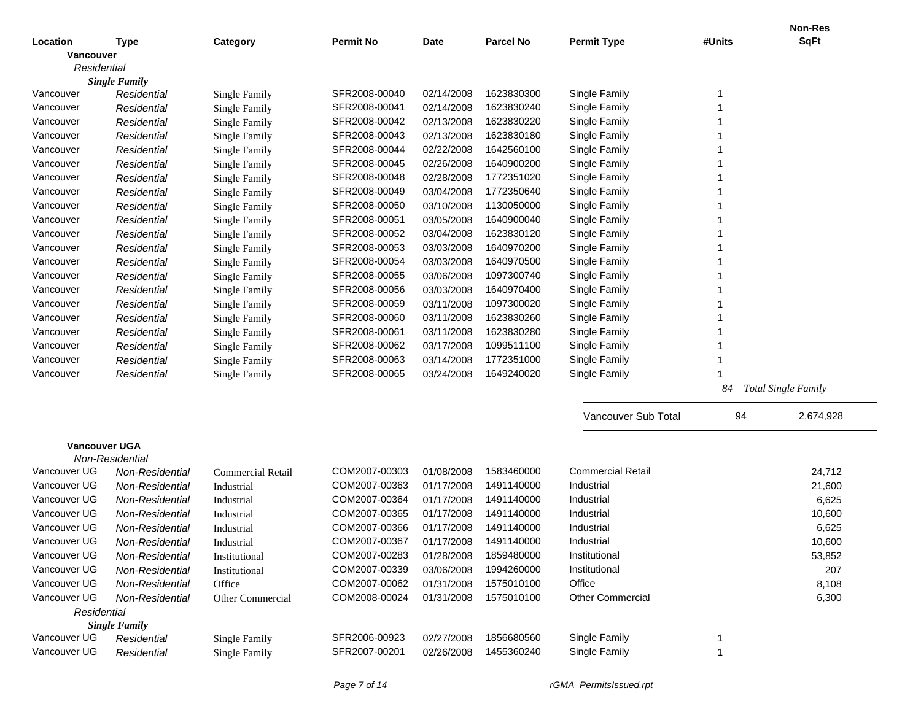|                      |                        |                      |                  |             |                  |                          |        | <b>Non-Res</b>             |
|----------------------|------------------------|----------------------|------------------|-------------|------------------|--------------------------|--------|----------------------------|
| Location             | <b>Type</b>            | Category             | <b>Permit No</b> | <b>Date</b> | <b>Parcel No</b> | <b>Permit Type</b>       | #Units | <b>SqFt</b>                |
| Vancouver            |                        |                      |                  |             |                  |                          |        |                            |
| Residential          |                        |                      |                  |             |                  |                          |        |                            |
|                      | <b>Single Family</b>   |                      |                  |             |                  |                          |        |                            |
| Vancouver            | Residential            | Single Family        | SFR2008-00040    | 02/14/2008  | 1623830300       | Single Family            | 1      |                            |
| Vancouver            | Residential            | Single Family        | SFR2008-00041    | 02/14/2008  | 1623830240       | Single Family            |        |                            |
| Vancouver            | Residential            | Single Family        | SFR2008-00042    | 02/13/2008  | 1623830220       | Single Family            |        |                            |
| Vancouver            | Residential            | Single Family        | SFR2008-00043    | 02/13/2008  | 1623830180       | Single Family            |        |                            |
| Vancouver            | Residential            | Single Family        | SFR2008-00044    | 02/22/2008  | 1642560100       | Single Family            |        |                            |
| Vancouver            | Residential            | Single Family        | SFR2008-00045    | 02/26/2008  | 1640900200       | Single Family            |        |                            |
| Vancouver            | Residential            | Single Family        | SFR2008-00048    | 02/28/2008  | 1772351020       | Single Family            |        |                            |
| Vancouver            | Residential            | Single Family        | SFR2008-00049    | 03/04/2008  | 1772350640       | Single Family            |        |                            |
| Vancouver            | Residential            | Single Family        | SFR2008-00050    | 03/10/2008  | 1130050000       | Single Family            |        |                            |
| Vancouver            | Residential            | Single Family        | SFR2008-00051    | 03/05/2008  | 1640900040       | Single Family            |        |                            |
| Vancouver            | Residential            | <b>Single Family</b> | SFR2008-00052    | 03/04/2008  | 1623830120       | Single Family            |        |                            |
| Vancouver            | Residential            | <b>Single Family</b> | SFR2008-00053    | 03/03/2008  | 1640970200       | Single Family            |        |                            |
| Vancouver            | Residential            | <b>Single Family</b> | SFR2008-00054    | 03/03/2008  | 1640970500       | Single Family            |        |                            |
| Vancouver            | Residential            | <b>Single Family</b> | SFR2008-00055    | 03/06/2008  | 1097300740       | Single Family            |        |                            |
| Vancouver            | Residential            | <b>Single Family</b> | SFR2008-00056    | 03/03/2008  | 1640970400       | Single Family            |        |                            |
| Vancouver            | Residential            | <b>Single Family</b> | SFR2008-00059    | 03/11/2008  | 1097300020       | Single Family            |        |                            |
| Vancouver            | Residential            | <b>Single Family</b> | SFR2008-00060    | 03/11/2008  | 1623830260       | Single Family            |        |                            |
| Vancouver            | Residential            | <b>Single Family</b> | SFR2008-00061    | 03/11/2008  | 1623830280       | Single Family            |        |                            |
| Vancouver            | Residential            | <b>Single Family</b> | SFR2008-00062    | 03/17/2008  | 1099511100       | Single Family            |        |                            |
| Vancouver            | Residential            | <b>Single Family</b> | SFR2008-00063    | 03/14/2008  | 1772351000       | Single Family            |        |                            |
| Vancouver            | Residential            | Single Family        | SFR2008-00065    | 03/24/2008  | 1649240020       | Single Family            |        |                            |
|                      |                        |                      |                  |             |                  |                          | 84     | <b>Total Single Family</b> |
|                      |                        |                      |                  |             |                  |                          |        |                            |
|                      |                        |                      |                  |             |                  | Vancouver Sub Total      | 94     | 2,674,928                  |
|                      |                        |                      |                  |             |                  |                          |        |                            |
| <b>Vancouver UGA</b> | Non-Residential        |                      |                  |             |                  |                          |        |                            |
| Vancouver UG         | Non-Residential        | Commercial Retail    | COM2007-00303    | 01/08/2008  | 1583460000       | <b>Commercial Retail</b> |        | 24,712                     |
| Vancouver UG         | Non-Residential        | Industrial           | COM2007-00363    | 01/17/2008  | 1491140000       | Industrial               |        | 21,600                     |
| Vancouver UG         | Non-Residential        | Industrial           | COM2007-00364    | 01/17/2008  | 1491140000       | Industrial               |        | 6,625                      |
| Vancouver UG         | Non-Residential        | Industrial           | COM2007-00365    | 01/17/2008  | 1491140000       | Industrial               |        | 10,600                     |
| Vancouver UG         | Non-Residential        | Industrial           | COM2007-00366    | 01/17/2008  | 1491140000       | Industrial               |        | 6,625                      |
| Vancouver UG         | Non-Residential        | Industrial           | COM2007-00367    | 01/17/2008  | 1491140000       | Industrial               |        | 10,600                     |
| Vancouver UG         | Non-Residential        | Institutional        | COM2007-00283    | 01/28/2008  | 1859480000       | Institutional            |        | 53,852                     |
| Vancouver UG         | Non-Residential        | Institutional        | COM2007-00339    | 03/06/2008  | 1994260000       | Institutional            |        | 207                        |
| Vancouver UG         | Non-Residential        | Office               | COM2007-00062    | 01/31/2008  | 1575010100       | Office                   |        | 8,108                      |
| Vancouver UG         | <b>Non-Residential</b> | Other Commercial     | COM2008-00024    | 01/31/2008  | 1575010100       | <b>Other Commercial</b>  |        | 6,300                      |
| Residential          |                        |                      |                  |             |                  |                          |        |                            |
|                      | <b>Single Family</b>   |                      |                  |             |                  |                          |        |                            |
| Vancouver UG         | Residential            | Single Family        | SFR2006-00923    | 02/27/2008  | 1856680560       | Single Family            | 1      |                            |
| Vancouver UG         | Residential            | Single Family        | SFR2007-00201    | 02/26/2008  | 1455360240       | Single Family            | 1      |                            |
|                      |                        |                      |                  |             |                  |                          |        |                            |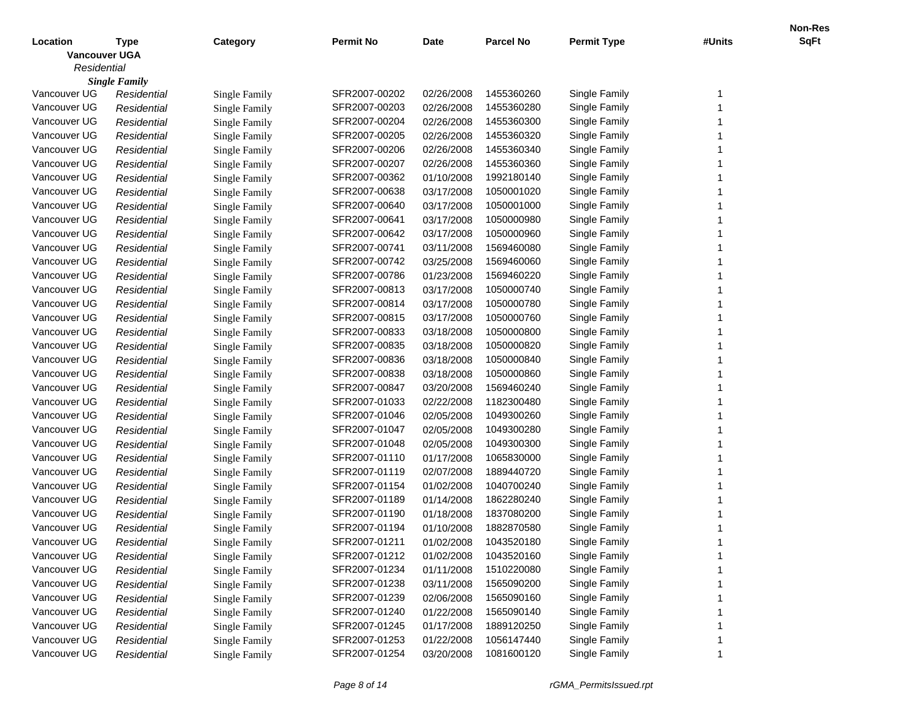|                      |                      |                      |                  |             |                  |                    |        | Non-Res     |
|----------------------|----------------------|----------------------|------------------|-------------|------------------|--------------------|--------|-------------|
| Location             | <b>Type</b>          | Category             | <b>Permit No</b> | <b>Date</b> | <b>Parcel No</b> | <b>Permit Type</b> | #Units | <b>SqFt</b> |
| <b>Vancouver UGA</b> |                      |                      |                  |             |                  |                    |        |             |
| Residential          |                      |                      |                  |             |                  |                    |        |             |
|                      | <b>Single Family</b> |                      |                  |             |                  |                    |        |             |
| Vancouver UG         | Residential          | Single Family        | SFR2007-00202    | 02/26/2008  | 1455360260       | Single Family      | -1     |             |
| Vancouver UG         | Residential          | <b>Single Family</b> | SFR2007-00203    | 02/26/2008  | 1455360280       | Single Family      |        |             |
| Vancouver UG         | Residential          | <b>Single Family</b> | SFR2007-00204    | 02/26/2008  | 1455360300       | Single Family      |        |             |
| Vancouver UG         | Residential          | <b>Single Family</b> | SFR2007-00205    | 02/26/2008  | 1455360320       | Single Family      |        |             |
| Vancouver UG         | Residential          | <b>Single Family</b> | SFR2007-00206    | 02/26/2008  | 1455360340       | Single Family      |        |             |
| Vancouver UG         | Residential          | <b>Single Family</b> | SFR2007-00207    | 02/26/2008  | 1455360360       | Single Family      |        |             |
| Vancouver UG         | Residential          | <b>Single Family</b> | SFR2007-00362    | 01/10/2008  | 1992180140       | Single Family      |        |             |
| Vancouver UG         | Residential          | <b>Single Family</b> | SFR2007-00638    | 03/17/2008  | 1050001020       | Single Family      |        |             |
| Vancouver UG         | Residential          | <b>Single Family</b> | SFR2007-00640    | 03/17/2008  | 1050001000       | Single Family      |        |             |
| Vancouver UG         | Residential          | <b>Single Family</b> | SFR2007-00641    | 03/17/2008  | 1050000980       | Single Family      |        |             |
| Vancouver UG         | Residential          | <b>Single Family</b> | SFR2007-00642    | 03/17/2008  | 1050000960       | Single Family      |        |             |
| Vancouver UG         | Residential          | <b>Single Family</b> | SFR2007-00741    | 03/11/2008  | 1569460080       | Single Family      |        |             |
| Vancouver UG         | Residential          | <b>Single Family</b> | SFR2007-00742    | 03/25/2008  | 1569460060       | Single Family      |        |             |
| Vancouver UG         | Residential          | <b>Single Family</b> | SFR2007-00786    | 01/23/2008  | 1569460220       | Single Family      |        |             |
| Vancouver UG         | Residential          | <b>Single Family</b> | SFR2007-00813    | 03/17/2008  | 1050000740       | Single Family      |        |             |
| Vancouver UG         | Residential          | <b>Single Family</b> | SFR2007-00814    | 03/17/2008  | 1050000780       | Single Family      |        |             |
| Vancouver UG         | Residential          | <b>Single Family</b> | SFR2007-00815    | 03/17/2008  | 1050000760       | Single Family      |        |             |
| Vancouver UG         | Residential          | <b>Single Family</b> | SFR2007-00833    | 03/18/2008  | 1050000800       | Single Family      |        |             |
| Vancouver UG         | Residential          | <b>Single Family</b> | SFR2007-00835    | 03/18/2008  | 1050000820       | Single Family      |        |             |
| Vancouver UG         | Residential          | <b>Single Family</b> | SFR2007-00836    | 03/18/2008  | 1050000840       | Single Family      |        |             |
| Vancouver UG         | Residential          | <b>Single Family</b> | SFR2007-00838    | 03/18/2008  | 1050000860       | Single Family      |        |             |
| Vancouver UG         | Residential          | <b>Single Family</b> | SFR2007-00847    | 03/20/2008  | 1569460240       | Single Family      |        |             |
| Vancouver UG         | Residential          | <b>Single Family</b> | SFR2007-01033    | 02/22/2008  | 1182300480       | Single Family      |        |             |
| Vancouver UG         | Residential          | <b>Single Family</b> | SFR2007-01046    | 02/05/2008  | 1049300260       | Single Family      |        |             |
| Vancouver UG         | Residential          | <b>Single Family</b> | SFR2007-01047    | 02/05/2008  | 1049300280       | Single Family      |        |             |
| Vancouver UG         | Residential          | <b>Single Family</b> | SFR2007-01048    | 02/05/2008  | 1049300300       | Single Family      |        |             |
| Vancouver UG         | Residential          | <b>Single Family</b> | SFR2007-01110    | 01/17/2008  | 1065830000       | Single Family      |        |             |
| Vancouver UG         | Residential          | <b>Single Family</b> | SFR2007-01119    | 02/07/2008  | 1889440720       | Single Family      |        |             |
| Vancouver UG         | Residential          | <b>Single Family</b> | SFR2007-01154    | 01/02/2008  | 1040700240       | Single Family      |        |             |
| Vancouver UG         | Residential          | <b>Single Family</b> | SFR2007-01189    | 01/14/2008  | 1862280240       | Single Family      |        |             |
| Vancouver UG         | Residential          | <b>Single Family</b> | SFR2007-01190    | 01/18/2008  | 1837080200       | Single Family      |        |             |
| Vancouver UG         | Residential          | <b>Single Family</b> | SFR2007-01194    | 01/10/2008  | 1882870580       | Single Family      |        |             |
| Vancouver UG         | Residential          | Single Family        | SFR2007-01211    | 01/02/2008  | 1043520180       | Single Family      |        |             |
| Vancouver UG         | Residential          | <b>Single Family</b> | SFR2007-01212    | 01/02/2008  | 1043520160       | Single Family      |        |             |
| Vancouver UG         | Residential          | Single Family        | SFR2007-01234    | 01/11/2008  | 1510220080       | Single Family      |        |             |
| Vancouver UG         | Residential          | Single Family        | SFR2007-01238    | 03/11/2008  | 1565090200       | Single Family      |        |             |
| Vancouver UG         | Residential          | Single Family        | SFR2007-01239    | 02/06/2008  | 1565090160       | Single Family      |        |             |
| Vancouver UG         | Residential          | Single Family        | SFR2007-01240    | 01/22/2008  | 1565090140       | Single Family      |        |             |
| Vancouver UG         | Residential          | Single Family        | SFR2007-01245    | 01/17/2008  | 1889120250       | Single Family      |        |             |
| Vancouver UG         | Residential          | <b>Single Family</b> | SFR2007-01253    | 01/22/2008  | 1056147440       | Single Family      |        |             |
| Vancouver UG         | Residential          | <b>Single Family</b> | SFR2007-01254    | 03/20/2008  | 1081600120       | Single Family      |        |             |
|                      |                      |                      |                  |             |                  |                    |        |             |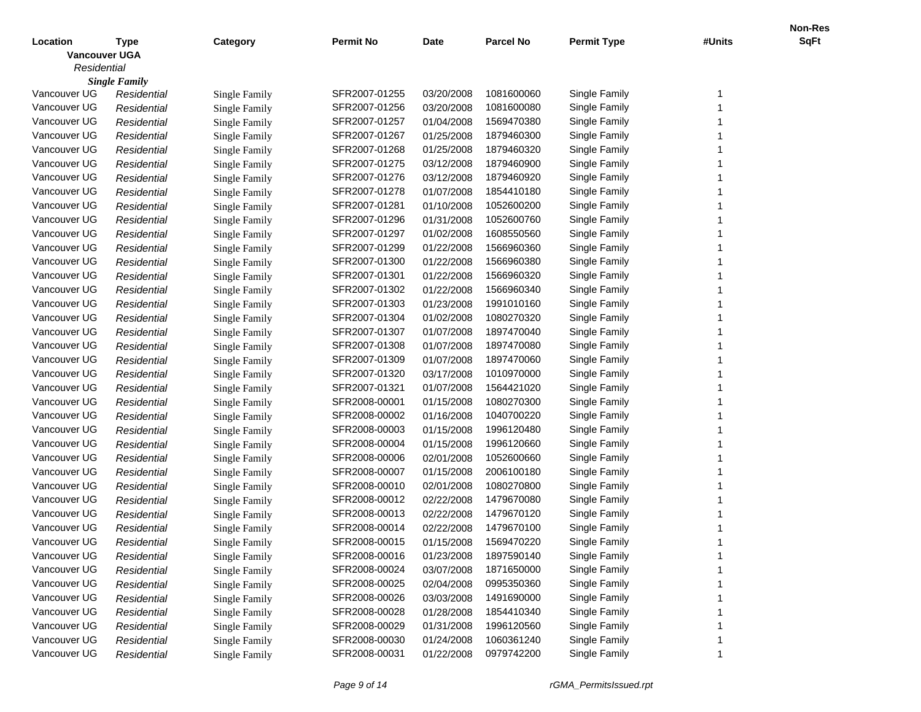|                      |                      |                      |                  |             |                  |                    |        | Non-Res     |
|----------------------|----------------------|----------------------|------------------|-------------|------------------|--------------------|--------|-------------|
| Location             | <b>Type</b>          | Category             | <b>Permit No</b> | <b>Date</b> | <b>Parcel No</b> | <b>Permit Type</b> | #Units | <b>SqFt</b> |
| <b>Vancouver UGA</b> |                      |                      |                  |             |                  |                    |        |             |
| Residential          |                      |                      |                  |             |                  |                    |        |             |
|                      | <b>Single Family</b> |                      |                  |             |                  |                    |        |             |
| Vancouver UG         | Residential          | Single Family        | SFR2007-01255    | 03/20/2008  | 1081600060       | Single Family      | -1     |             |
| Vancouver UG         | Residential          | <b>Single Family</b> | SFR2007-01256    | 03/20/2008  | 1081600080       | Single Family      |        |             |
| Vancouver UG         | Residential          | <b>Single Family</b> | SFR2007-01257    | 01/04/2008  | 1569470380       | Single Family      |        |             |
| Vancouver UG         | Residential          | <b>Single Family</b> | SFR2007-01267    | 01/25/2008  | 1879460300       | Single Family      |        |             |
| Vancouver UG         | Residential          | <b>Single Family</b> | SFR2007-01268    | 01/25/2008  | 1879460320       | Single Family      |        |             |
| Vancouver UG         | Residential          | <b>Single Family</b> | SFR2007-01275    | 03/12/2008  | 1879460900       | Single Family      |        |             |
| Vancouver UG         | Residential          | <b>Single Family</b> | SFR2007-01276    | 03/12/2008  | 1879460920       | Single Family      |        |             |
| Vancouver UG         | Residential          | <b>Single Family</b> | SFR2007-01278    | 01/07/2008  | 1854410180       | Single Family      |        |             |
| Vancouver UG         | Residential          | <b>Single Family</b> | SFR2007-01281    | 01/10/2008  | 1052600200       | Single Family      |        |             |
| Vancouver UG         | Residential          | <b>Single Family</b> | SFR2007-01296    | 01/31/2008  | 1052600760       | Single Family      |        |             |
| Vancouver UG         | Residential          | <b>Single Family</b> | SFR2007-01297    | 01/02/2008  | 1608550560       | Single Family      |        |             |
| Vancouver UG         | Residential          | <b>Single Family</b> | SFR2007-01299    | 01/22/2008  | 1566960360       | Single Family      |        |             |
| Vancouver UG         | Residential          | <b>Single Family</b> | SFR2007-01300    | 01/22/2008  | 1566960380       | Single Family      |        |             |
| Vancouver UG         | Residential          | <b>Single Family</b> | SFR2007-01301    | 01/22/2008  | 1566960320       | Single Family      |        |             |
| Vancouver UG         | Residential          | <b>Single Family</b> | SFR2007-01302    | 01/22/2008  | 1566960340       | Single Family      |        |             |
| Vancouver UG         | Residential          | <b>Single Family</b> | SFR2007-01303    | 01/23/2008  | 1991010160       | Single Family      |        |             |
| Vancouver UG         | Residential          | <b>Single Family</b> | SFR2007-01304    | 01/02/2008  | 1080270320       | Single Family      |        |             |
| Vancouver UG         | Residential          | <b>Single Family</b> | SFR2007-01307    | 01/07/2008  | 1897470040       | Single Family      |        |             |
| Vancouver UG         | Residential          | <b>Single Family</b> | SFR2007-01308    | 01/07/2008  | 1897470080       | Single Family      |        |             |
| Vancouver UG         | Residential          | <b>Single Family</b> | SFR2007-01309    | 01/07/2008  | 1897470060       | Single Family      |        |             |
| Vancouver UG         | Residential          | <b>Single Family</b> | SFR2007-01320    | 03/17/2008  | 1010970000       | Single Family      |        |             |
| Vancouver UG         | Residential          | <b>Single Family</b> | SFR2007-01321    | 01/07/2008  | 1564421020       | Single Family      |        |             |
| Vancouver UG         | Residential          | <b>Single Family</b> | SFR2008-00001    | 01/15/2008  | 1080270300       | Single Family      |        |             |
| Vancouver UG         | Residential          | <b>Single Family</b> | SFR2008-00002    | 01/16/2008  | 1040700220       | Single Family      |        |             |
| Vancouver UG         | Residential          | <b>Single Family</b> | SFR2008-00003    | 01/15/2008  | 1996120480       | Single Family      |        |             |
| Vancouver UG         | Residential          | <b>Single Family</b> | SFR2008-00004    | 01/15/2008  | 1996120660       | Single Family      |        |             |
| Vancouver UG         | Residential          | <b>Single Family</b> | SFR2008-00006    | 02/01/2008  | 1052600660       | Single Family      |        |             |
| Vancouver UG         | Residential          | <b>Single Family</b> | SFR2008-00007    | 01/15/2008  | 2006100180       | Single Family      |        |             |
| Vancouver UG         | Residential          | <b>Single Family</b> | SFR2008-00010    | 02/01/2008  | 1080270800       | Single Family      |        |             |
| Vancouver UG         | Residential          | <b>Single Family</b> | SFR2008-00012    | 02/22/2008  | 1479670080       | Single Family      |        |             |
| Vancouver UG         | Residential          | <b>Single Family</b> | SFR2008-00013    | 02/22/2008  | 1479670120       | Single Family      |        |             |
| Vancouver UG         | Residential          | <b>Single Family</b> | SFR2008-00014    | 02/22/2008  | 1479670100       | Single Family      |        |             |
| Vancouver UG         | Residential          | Single Family        | SFR2008-00015    | 01/15/2008  | 1569470220       | Single Family      |        |             |
| Vancouver UG         | Residential          | <b>Single Family</b> | SFR2008-00016    | 01/23/2008  | 1897590140       | Single Family      |        |             |
| Vancouver UG         | Residential          | Single Family        | SFR2008-00024    | 03/07/2008  | 1871650000       | Single Family      |        |             |
| Vancouver UG         | Residential          | Single Family        | SFR2008-00025    | 02/04/2008  | 0995350360       | Single Family      |        |             |
| Vancouver UG         | Residential          | Single Family        | SFR2008-00026    | 03/03/2008  | 1491690000       | Single Family      |        |             |
| Vancouver UG         | Residential          | Single Family        | SFR2008-00028    | 01/28/2008  | 1854410340       | Single Family      |        |             |
| Vancouver UG         | Residential          | Single Family        | SFR2008-00029    | 01/31/2008  | 1996120560       | Single Family      |        |             |
| Vancouver UG         | Residential          | <b>Single Family</b> | SFR2008-00030    | 01/24/2008  | 1060361240       | Single Family      |        |             |
| Vancouver UG         | Residential          | <b>Single Family</b> | SFR2008-00031    | 01/22/2008  | 0979742200       | Single Family      |        |             |
|                      |                      |                      |                  |             |                  |                    |        |             |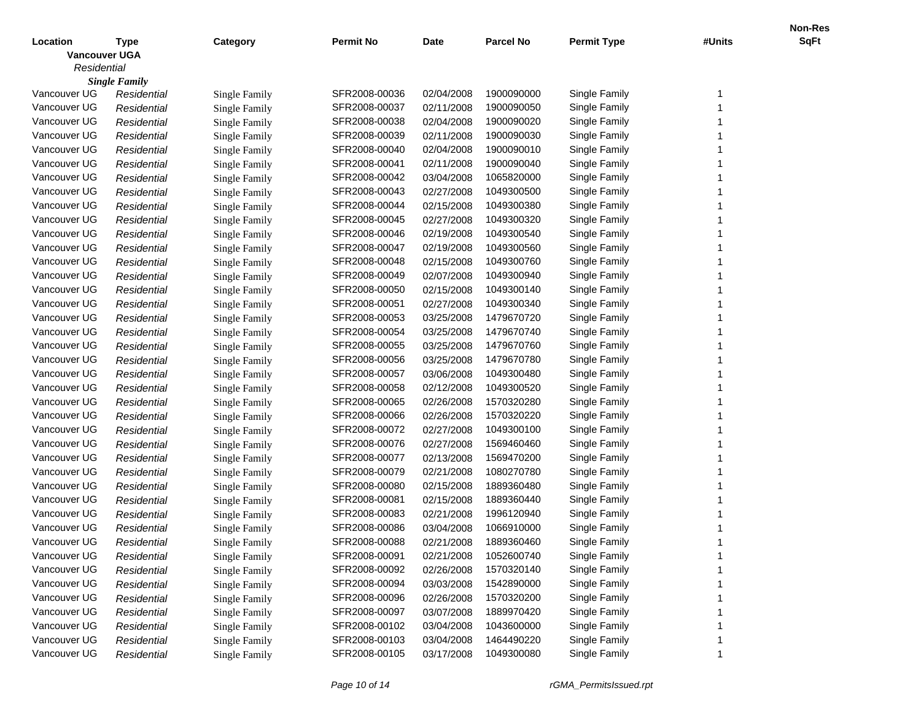|                      |                      |                      |                  |             |                  |                    |        | Non-Res     |
|----------------------|----------------------|----------------------|------------------|-------------|------------------|--------------------|--------|-------------|
| Location             | <b>Type</b>          | Category             | <b>Permit No</b> | <b>Date</b> | <b>Parcel No</b> | <b>Permit Type</b> | #Units | <b>SqFt</b> |
| <b>Vancouver UGA</b> |                      |                      |                  |             |                  |                    |        |             |
| Residential          |                      |                      |                  |             |                  |                    |        |             |
|                      | <b>Single Family</b> |                      |                  |             |                  |                    |        |             |
| Vancouver UG         | Residential          | Single Family        | SFR2008-00036    | 02/04/2008  | 1900090000       | Single Family      | -1     |             |
| Vancouver UG         | Residential          | <b>Single Family</b> | SFR2008-00037    | 02/11/2008  | 1900090050       | Single Family      |        |             |
| Vancouver UG         | Residential          | <b>Single Family</b> | SFR2008-00038    | 02/04/2008  | 1900090020       | Single Family      |        |             |
| Vancouver UG         | Residential          | <b>Single Family</b> | SFR2008-00039    | 02/11/2008  | 1900090030       | Single Family      |        |             |
| Vancouver UG         | Residential          | <b>Single Family</b> | SFR2008-00040    | 02/04/2008  | 1900090010       | Single Family      |        |             |
| Vancouver UG         | Residential          | <b>Single Family</b> | SFR2008-00041    | 02/11/2008  | 1900090040       | Single Family      |        |             |
| Vancouver UG         | Residential          | <b>Single Family</b> | SFR2008-00042    | 03/04/2008  | 1065820000       | Single Family      |        |             |
| Vancouver UG         | Residential          | <b>Single Family</b> | SFR2008-00043    | 02/27/2008  | 1049300500       | Single Family      |        |             |
| Vancouver UG         | Residential          | <b>Single Family</b> | SFR2008-00044    | 02/15/2008  | 1049300380       | Single Family      |        |             |
| Vancouver UG         | Residential          | <b>Single Family</b> | SFR2008-00045    | 02/27/2008  | 1049300320       | Single Family      |        |             |
| Vancouver UG         | Residential          | <b>Single Family</b> | SFR2008-00046    | 02/19/2008  | 1049300540       | Single Family      |        |             |
| Vancouver UG         | Residential          | <b>Single Family</b> | SFR2008-00047    | 02/19/2008  | 1049300560       | Single Family      |        |             |
| Vancouver UG         | Residential          | <b>Single Family</b> | SFR2008-00048    | 02/15/2008  | 1049300760       | Single Family      |        |             |
| Vancouver UG         | Residential          | <b>Single Family</b> | SFR2008-00049    | 02/07/2008  | 1049300940       | Single Family      |        |             |
| Vancouver UG         | Residential          | <b>Single Family</b> | SFR2008-00050    | 02/15/2008  | 1049300140       | Single Family      |        |             |
| Vancouver UG         | Residential          | <b>Single Family</b> | SFR2008-00051    | 02/27/2008  | 1049300340       | Single Family      |        |             |
| Vancouver UG         | Residential          | <b>Single Family</b> | SFR2008-00053    | 03/25/2008  | 1479670720       | Single Family      |        |             |
| Vancouver UG         | Residential          | <b>Single Family</b> | SFR2008-00054    | 03/25/2008  | 1479670740       | Single Family      |        |             |
| Vancouver UG         | Residential          | <b>Single Family</b> | SFR2008-00055    | 03/25/2008  | 1479670760       | Single Family      |        |             |
| Vancouver UG         | Residential          | <b>Single Family</b> | SFR2008-00056    | 03/25/2008  | 1479670780       | Single Family      |        |             |
| Vancouver UG         | Residential          | <b>Single Family</b> | SFR2008-00057    | 03/06/2008  | 1049300480       | Single Family      |        |             |
| Vancouver UG         | Residential          | <b>Single Family</b> | SFR2008-00058    | 02/12/2008  | 1049300520       | Single Family      |        |             |
| Vancouver UG         | Residential          | <b>Single Family</b> | SFR2008-00065    | 02/26/2008  | 1570320280       | Single Family      |        |             |
| Vancouver UG         | Residential          | <b>Single Family</b> | SFR2008-00066    | 02/26/2008  | 1570320220       | Single Family      |        |             |
| Vancouver UG         | Residential          | <b>Single Family</b> | SFR2008-00072    | 02/27/2008  | 1049300100       | Single Family      |        |             |
| Vancouver UG         | Residential          | <b>Single Family</b> | SFR2008-00076    | 02/27/2008  | 1569460460       | Single Family      |        |             |
| Vancouver UG         | Residential          | <b>Single Family</b> | SFR2008-00077    | 02/13/2008  | 1569470200       | Single Family      |        |             |
| Vancouver UG         | Residential          | <b>Single Family</b> | SFR2008-00079    | 02/21/2008  | 1080270780       | Single Family      |        |             |
| Vancouver UG         | Residential          | <b>Single Family</b> | SFR2008-00080    | 02/15/2008  | 1889360480       | Single Family      |        |             |
| Vancouver UG         | Residential          | <b>Single Family</b> | SFR2008-00081    | 02/15/2008  | 1889360440       | Single Family      |        |             |
| Vancouver UG         | Residential          | <b>Single Family</b> | SFR2008-00083    | 02/21/2008  | 1996120940       | Single Family      |        |             |
| Vancouver UG         | Residential          | <b>Single Family</b> | SFR2008-00086    | 03/04/2008  | 1066910000       | Single Family      |        |             |
| Vancouver UG         | Residential          | Single Family        | SFR2008-00088    | 02/21/2008  | 1889360460       | Single Family      |        |             |
| Vancouver UG         | Residential          | <b>Single Family</b> | SFR2008-00091    | 02/21/2008  | 1052600740       | Single Family      |        |             |
| Vancouver UG         | Residential          | Single Family        | SFR2008-00092    | 02/26/2008  | 1570320140       | Single Family      |        |             |
| Vancouver UG         | Residential          | Single Family        | SFR2008-00094    | 03/03/2008  | 1542890000       | Single Family      |        |             |
| Vancouver UG         | Residential          | Single Family        | SFR2008-00096    | 02/26/2008  | 1570320200       | Single Family      |        |             |
| Vancouver UG         | Residential          | Single Family        | SFR2008-00097    | 03/07/2008  | 1889970420       | Single Family      |        |             |
| Vancouver UG         | Residential          | Single Family        | SFR2008-00102    | 03/04/2008  | 1043600000       | Single Family      |        |             |
| Vancouver UG         | Residential          | <b>Single Family</b> | SFR2008-00103    | 03/04/2008  | 1464490220       | Single Family      |        |             |
| Vancouver UG         | Residential          | <b>Single Family</b> | SFR2008-00105    | 03/17/2008  | 1049300080       | Single Family      |        |             |
|                      |                      |                      |                  |             |                  |                    |        |             |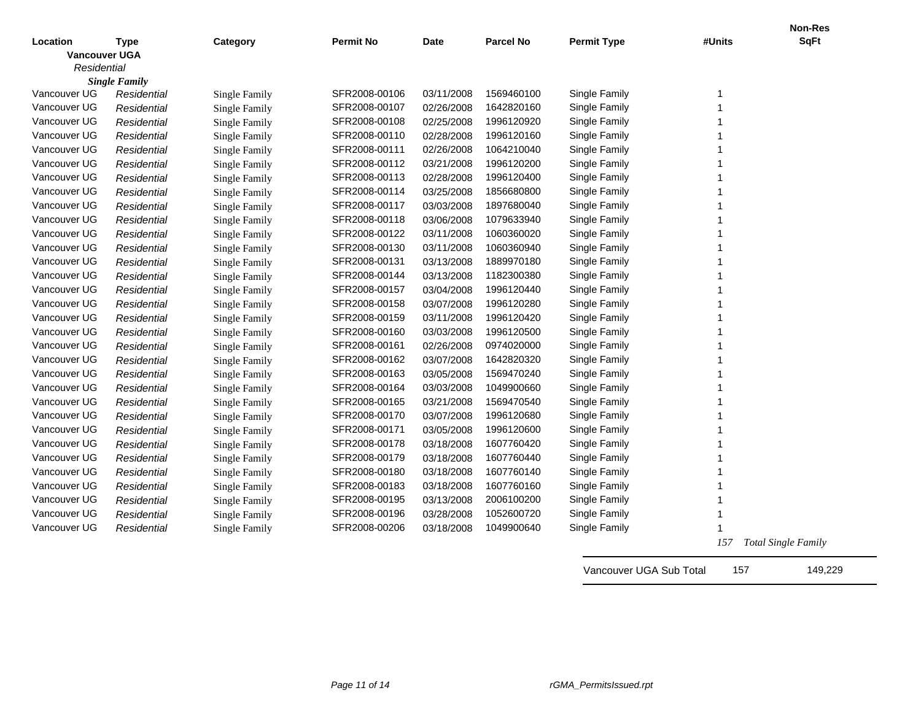|                      |                      |                      |                  |             |                  |                    |        | <b>Non-Res</b>            |
|----------------------|----------------------|----------------------|------------------|-------------|------------------|--------------------|--------|---------------------------|
| Location             | <b>Type</b>          | Category             | <b>Permit No</b> | <b>Date</b> | <b>Parcel No</b> | <b>Permit Type</b> | #Units | <b>SqFt</b>               |
| <b>Vancouver UGA</b> |                      |                      |                  |             |                  |                    |        |                           |
| Residential          |                      |                      |                  |             |                  |                    |        |                           |
|                      | <b>Single Family</b> |                      |                  |             |                  |                    |        |                           |
| Vancouver UG         | Residential          | Single Family        | SFR2008-00106    | 03/11/2008  | 1569460100       | Single Family      | 1      |                           |
| Vancouver UG         | Residential          | Single Family        | SFR2008-00107    | 02/26/2008  | 1642820160       | Single Family      |        |                           |
| Vancouver UG         | Residential          | <b>Single Family</b> | SFR2008-00108    | 02/25/2008  | 1996120920       | Single Family      |        |                           |
| Vancouver UG         | Residential          | <b>Single Family</b> | SFR2008-00110    | 02/28/2008  | 1996120160       | Single Family      |        |                           |
| Vancouver UG         | Residential          | <b>Single Family</b> | SFR2008-00111    | 02/26/2008  | 1064210040       | Single Family      |        |                           |
| Vancouver UG         | <b>Residential</b>   | <b>Single Family</b> | SFR2008-00112    | 03/21/2008  | 1996120200       | Single Family      |        |                           |
| Vancouver UG         | <b>Residential</b>   | <b>Single Family</b> | SFR2008-00113    | 02/28/2008  | 1996120400       | Single Family      |        |                           |
| Vancouver UG         | <b>Residential</b>   | <b>Single Family</b> | SFR2008-00114    | 03/25/2008  | 1856680800       | Single Family      |        |                           |
| Vancouver UG         | <b>Residential</b>   | <b>Single Family</b> | SFR2008-00117    | 03/03/2008  | 1897680040       | Single Family      | 1      |                           |
| Vancouver UG         | Residential          | <b>Single Family</b> | SFR2008-00118    | 03/06/2008  | 1079633940       | Single Family      | 1      |                           |
| Vancouver UG         | Residential          | <b>Single Family</b> | SFR2008-00122    | 03/11/2008  | 1060360020       | Single Family      | 1      |                           |
| Vancouver UG         | Residential          | <b>Single Family</b> | SFR2008-00130    | 03/11/2008  | 1060360940       | Single Family      | 1      |                           |
| Vancouver UG         | Residential          | <b>Single Family</b> | SFR2008-00131    | 03/13/2008  | 1889970180       | Single Family      | 1      |                           |
| Vancouver UG         | Residential          | Single Family        | SFR2008-00144    | 03/13/2008  | 1182300380       | Single Family      | 1      |                           |
| Vancouver UG         | Residential          | <b>Single Family</b> | SFR2008-00157    | 03/04/2008  | 1996120440       | Single Family      | 1      |                           |
| Vancouver UG         | Residential          | <b>Single Family</b> | SFR2008-00158    | 03/07/2008  | 1996120280       | Single Family      | -1     |                           |
| Vancouver UG         | Residential          | <b>Single Family</b> | SFR2008-00159    | 03/11/2008  | 1996120420       | Single Family      | 1      |                           |
| Vancouver UG         | Residential          | <b>Single Family</b> | SFR2008-00160    | 03/03/2008  | 1996120500       | Single Family      | 1      |                           |
| Vancouver UG         | Residential          | <b>Single Family</b> | SFR2008-00161    | 02/26/2008  | 0974020000       | Single Family      | 1      |                           |
| Vancouver UG         | Residential          | Single Family        | SFR2008-00162    | 03/07/2008  | 1642820320       | Single Family      | 1      |                           |
| Vancouver UG         | Residential          | <b>Single Family</b> | SFR2008-00163    | 03/05/2008  | 1569470240       | Single Family      | 1      |                           |
| Vancouver UG         | Residential          | <b>Single Family</b> | SFR2008-00164    | 03/03/2008  | 1049900660       | Single Family      | 1      |                           |
| Vancouver UG         | Residential          | <b>Single Family</b> | SFR2008-00165    | 03/21/2008  | 1569470540       | Single Family      | -1     |                           |
| Vancouver UG         | Residential          | Single Family        | SFR2008-00170    | 03/07/2008  | 1996120680       | Single Family      | -1     |                           |
| Vancouver UG         | Residential          | Single Family        | SFR2008-00171    | 03/05/2008  | 1996120600       | Single Family      | 1      |                           |
| Vancouver UG         | Residential          | Single Family        | SFR2008-00178    | 03/18/2008  | 1607760420       | Single Family      | -1     |                           |
| Vancouver UG         | Residential          | Single Family        | SFR2008-00179    | 03/18/2008  | 1607760440       | Single Family      | -1     |                           |
| Vancouver UG         | Residential          | Single Family        | SFR2008-00180    | 03/18/2008  | 1607760140       | Single Family      |        |                           |
| Vancouver UG         | Residential          | Single Family        | SFR2008-00183    | 03/18/2008  | 1607760160       | Single Family      |        |                           |
| Vancouver UG         | Residential          | Single Family        | SFR2008-00195    | 03/13/2008  | 2006100200       | Single Family      |        |                           |
| Vancouver UG         | Residential          | Single Family        | SFR2008-00196    | 03/28/2008  | 1052600720       | Single Family      |        |                           |
| Vancouver UG         | Residential          | <b>Single Family</b> | SFR2008-00206    | 03/18/2008  | 1049900640       | Single Family      |        |                           |
|                      |                      |                      |                  |             |                  |                    |        | $157$ Total Single Equils |

 *157 Total Single Family*

Vancouver UGA Sub Total 157 149,229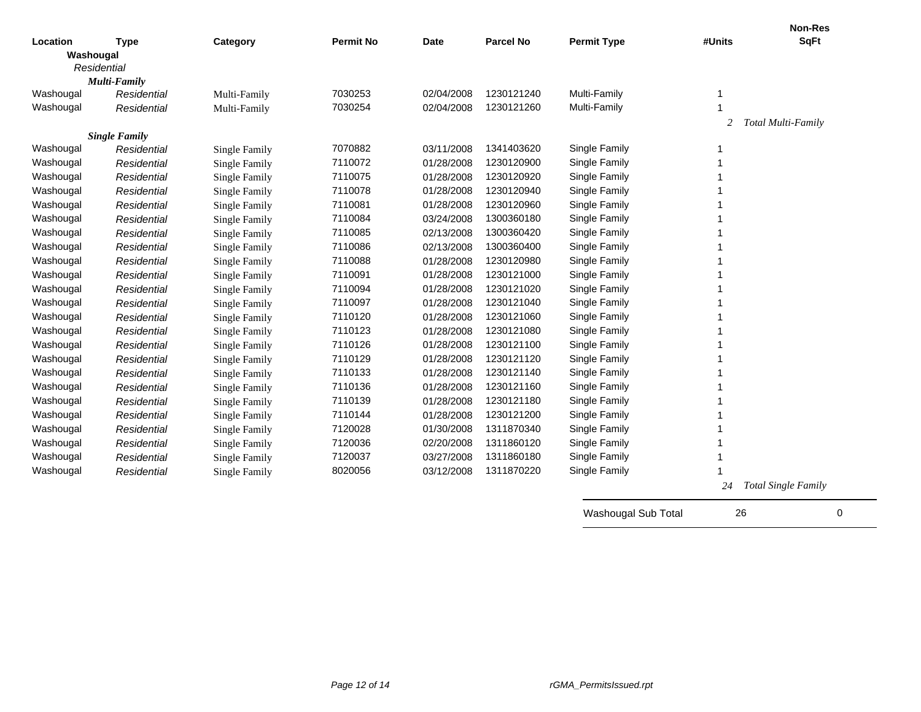|           |                      |                      |                  |             |                  |                    |        | Non-Res                    |
|-----------|----------------------|----------------------|------------------|-------------|------------------|--------------------|--------|----------------------------|
| Location  | <b>Type</b>          | Category             | <b>Permit No</b> | <b>Date</b> | <b>Parcel No</b> | <b>Permit Type</b> | #Units | <b>SqFt</b>                |
| Washougal |                      |                      |                  |             |                  |                    |        |                            |
|           | Residential          |                      |                  |             |                  |                    |        |                            |
|           | Multi-Family         |                      |                  |             |                  |                    |        |                            |
| Washougal | Residential          | Multi-Family         | 7030253          | 02/04/2008  | 1230121240       | Multi-Family       | 1      |                            |
| Washougal | Residential          | Multi-Family         | 7030254          | 02/04/2008  | 1230121260       | Multi-Family       |        |                            |
|           |                      |                      |                  |             |                  |                    | 2      | Total Multi-Family         |
|           | <b>Single Family</b> |                      |                  |             |                  |                    |        |                            |
| Washougal | Residential          | Single Family        | 7070882          | 03/11/2008  | 1341403620       | Single Family      | 1      |                            |
| Washougal | Residential          | <b>Single Family</b> | 7110072          | 01/28/2008  | 1230120900       | Single Family      | 1      |                            |
| Washougal | Residential          | Single Family        | 7110075          | 01/28/2008  | 1230120920       | Single Family      |        |                            |
| Washougal | Residential          | <b>Single Family</b> | 7110078          | 01/28/2008  | 1230120940       | Single Family      |        |                            |
| Washougal | Residential          | Single Family        | 7110081          | 01/28/2008  | 1230120960       | Single Family      |        |                            |
| Washougal | Residential          | Single Family        | 7110084          | 03/24/2008  | 1300360180       | Single Family      |        |                            |
| Washougal | Residential          | Single Family        | 7110085          | 02/13/2008  | 1300360420       | Single Family      |        |                            |
| Washougal | Residential          | <b>Single Family</b> | 7110086          | 02/13/2008  | 1300360400       | Single Family      |        |                            |
| Washougal | Residential          | <b>Single Family</b> | 7110088          | 01/28/2008  | 1230120980       | Single Family      |        |                            |
| Washougal | Residential          | <b>Single Family</b> | 7110091          | 01/28/2008  | 1230121000       | Single Family      |        |                            |
| Washougal | Residential          | <b>Single Family</b> | 7110094          | 01/28/2008  | 1230121020       | Single Family      |        |                            |
| Washougal | Residential          | <b>Single Family</b> | 7110097          | 01/28/2008  | 1230121040       | Single Family      |        |                            |
| Washougal | Residential          | Single Family        | 7110120          | 01/28/2008  | 1230121060       | Single Family      |        |                            |
| Washougal | Residential          | Single Family        | 7110123          | 01/28/2008  | 1230121080       | Single Family      |        |                            |
| Washougal | Residential          | <b>Single Family</b> | 7110126          | 01/28/2008  | 1230121100       | Single Family      |        |                            |
| Washougal | Residential          | <b>Single Family</b> | 7110129          | 01/28/2008  | 1230121120       | Single Family      |        |                            |
| Washougal | Residential          | Single Family        | 7110133          | 01/28/2008  | 1230121140       | Single Family      |        |                            |
| Washougal | Residential          | Single Family        | 7110136          | 01/28/2008  | 1230121160       | Single Family      |        |                            |
| Washougal | Residential          | Single Family        | 7110139          | 01/28/2008  | 1230121180       | Single Family      |        |                            |
| Washougal | Residential          | Single Family        | 7110144          | 01/28/2008  | 1230121200       | Single Family      |        |                            |
| Washougal | Residential          | <b>Single Family</b> | 7120028          | 01/30/2008  | 1311870340       | Single Family      |        |                            |
| Washougal | Residential          | Single Family        | 7120036          | 02/20/2008  | 1311860120       | Single Family      |        |                            |
| Washougal | Residential          | Single Family        | 7120037          | 03/27/2008  | 1311860180       | Single Family      |        |                            |
| Washougal | Residential          | Single Family        | 8020056          | 03/12/2008  | 1311870220       | Single Family      |        |                            |
|           |                      |                      |                  |             |                  |                    | 24     | <b>Total Single Family</b> |

Washougal Sub Total 26 20 0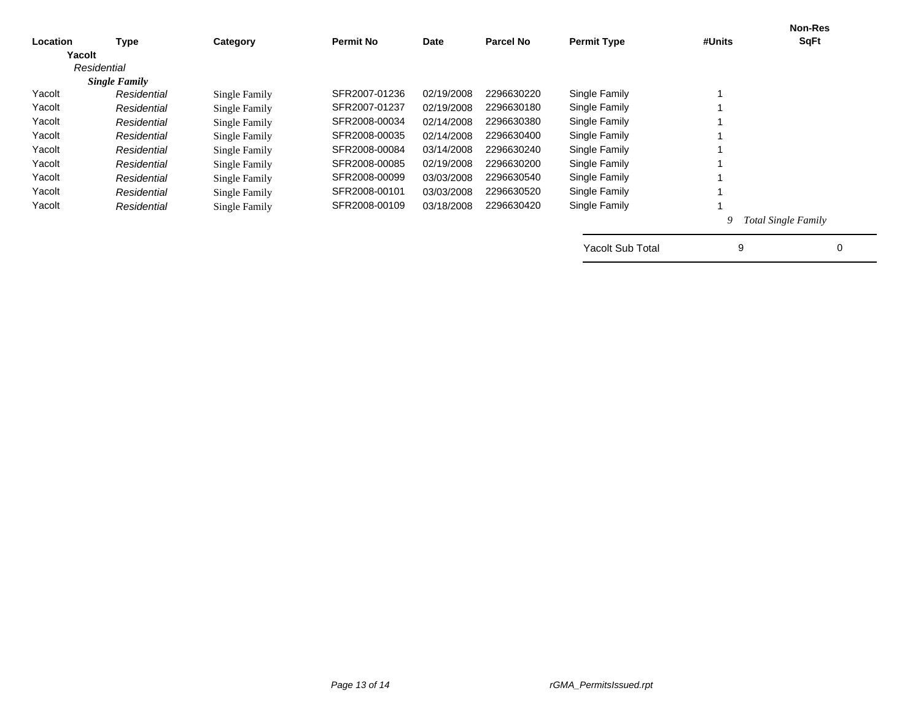|                      |                |               |                  |            |                         |                    | <b>Non-Res</b><br><b>SqFt</b> |
|----------------------|----------------|---------------|------------------|------------|-------------------------|--------------------|-------------------------------|
|                      |                |               |                  |            |                         |                    |                               |
| Residential          |                |               |                  |            |                         |                    |                               |
| <b>Single Family</b> |                |               |                  |            |                         |                    |                               |
| Residential          | Single Family  | SFR2007-01236 | 02/19/2008       | 2296630220 | Single Family           |                    |                               |
| Residential          | Single Family  | SFR2007-01237 | 02/19/2008       | 2296630180 | Single Family           |                    |                               |
| Residential          | Single Family  | SFR2008-00034 | 02/14/2008       | 2296630380 | Single Family           |                    |                               |
| Residential          | Single Family  | SFR2008-00035 | 02/14/2008       | 2296630400 | Single Family           |                    |                               |
| Residential          | Single Family  | SFR2008-00084 | 03/14/2008       | 2296630240 | Single Family           |                    |                               |
| Residential          | Single Family  | SFR2008-00085 | 02/19/2008       | 2296630200 | Single Family           |                    |                               |
| Residential          | Single Family  | SFR2008-00099 | 03/03/2008       | 2296630540 | Single Family           |                    |                               |
| Residential          | Single Family  | SFR2008-00101 | 03/03/2008       | 2296630520 | Single Family           |                    |                               |
| Residential          | Single Family  | SFR2008-00109 | 03/18/2008       | 2296630420 | Single Family           |                    |                               |
|                      |                |               |                  |            |                         | 9                  | <b>Total Single Family</b>    |
|                      |                |               |                  |            | <b>Yacolt Sub Total</b> | 9                  | 0                             |
|                      | Type<br>Yacolt | Category      | <b>Permit No</b> | Date       | <b>Parcel No</b>        | <b>Permit Type</b> | #Units                        |